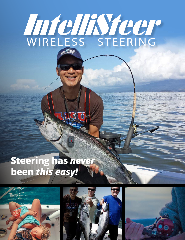# MICHAYCUP BIR JUINE

## **Steering has** *never*  **been** *this easy!*





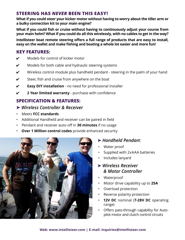#### **STEERING HAS** *NEVER* **BEEN THIS EASY!**

**What if you could steer your kicker motor without having to worry about the tiller arm or a bulky connection kit to your main engine?**

**What if you could fish or cruise without having to continuously adjust your course from your main helm? What if you could do all this wirelessly, with no cables to get in the way?**

**Intellisteer boat remote steering offers a full range of products that are easy to install, easy on the wallet and make fishing and boating a whole lot easier and more fun!**

#### **KEY FEATURES:**

- $\mathcal V$  Models for control of kicker motor
- $\mathcal V$  Models for both cable and hydraulic steering systems
- $\mathcal V$  Wireless control module plus handheld pendant steering in the palm of your hand
- $\mathcal V$  Steer, fish and cruise from anywhere on the boat
- ✔ **Easy DIY installation** no need for professional installer
- ✔ **2 Year limited warranty** purchase with confidence

### **SPECIFICATION & FEATURES:**

#### ➤ *Wireless Controller & Receiver*

- Meets **FCC standards**
- Additional Handheld and receiver can be paired in field
- Pendant and receiver auto-off in **30 minutes** if no usage
- **Over 1 Million control codes** provide enhanced security



#### ➤ *Handheld Pendan*t

- Water proof
- Supplied with 2xAAA batteries
- Includes lanyard

#### ➤ *Wireless Receiver & Motor Controller*

- Waterproof
- Motor drive capability up to **25A**
- Overload protection
- Reverse polarity protection
- **12V DC** nominal (**7-28V DC** operating range)
- Offers pass-through capability for Autopilot motor and clutch control circuits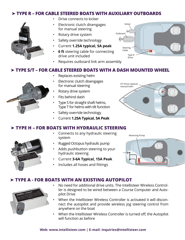#### ➤ **TYPE R – FOR CABLE STEERED BOATS WITH AUXILIARY OUTBOARDS**



- Drive connects to kicker
- Electronic clutch disengages for manual steering
- Rotary drive system
- Safety override technology
- Current **1.25A typical, 5A peak**
- **6 ft** steering cable for connecting drive unit included
- Requires outboard link arm assembly



#### ➤ **TYPE S/T – FOR CABLE STEERED BOATS WITH A DASH MOUNTED WHEEL**

- Replaces existing helm
- Electronic clutch disengages for manual steering
- Rotary drive system
- Fits behind dash
- Type S for straight shaft helms, Type T for helms with tilt function
- Safety override technology
- Current **1.25A Typical, 5A Peak**



#### ➤ **TYPE H – FOR BOATS WITH HYDRAULIC STEERING**

- Connects to any hydraulic steering system
- Rugged Octopus hydraulic pump
- Adds pushbutton steering to your hydraulic steering
- Current **3-6A Typical, 15A Peak**
- Includes all hoses and fittings



#### ➤ **TYPE A - FOR BOATS WITH AN EXISTING AUTOPILOT**



- No need for additional drive units. The Intellisteer Wireless Controller is designed to be wired between a Course Computer and Autopilot Drive
- When the Intellisteer Wireless Controller is activated it will disconnect the autopilot and provide wireless jog steering control from anywhere on the boat
- When the Intellisteer Wireless Controller is turned off, the Autopilot will function as before

#### **Web: www.intellisteer.com | E-mail: inquiries@intellisteer.com**